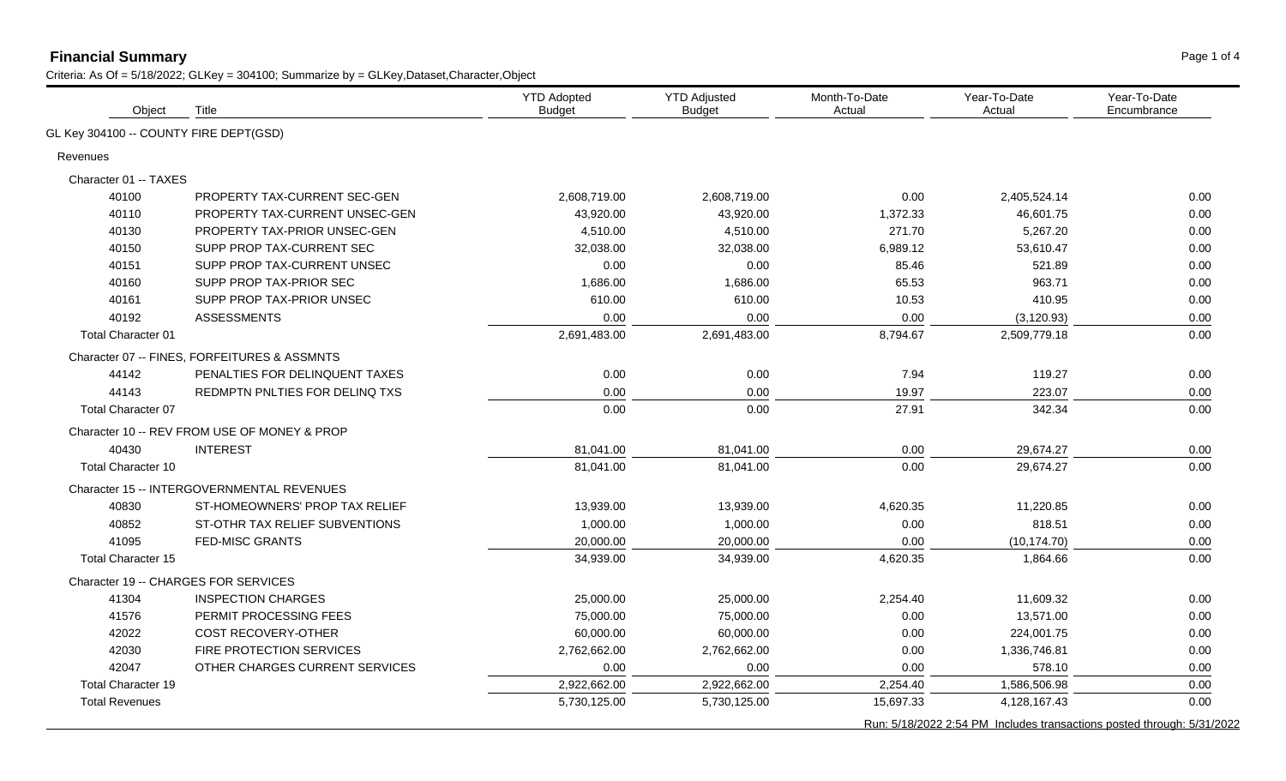## **Financial Summary** Page 1 of 4

| GL Key 304100 -- COUNTY FIRE DEPT(GSD)<br>Revenues<br>Character 01 -- TAXES<br>40100<br>PROPERTY TAX-CURRENT SEC-GEN<br>2,608,719.00<br>2,608,719.00<br>0.00<br>2,405,524.14<br>0.00<br>40110<br>PROPERTY TAX-CURRENT UNSEC-GEN<br>43,920.00<br>43,920.00<br>1,372.33<br>46.601.75<br>0.00<br>271.70<br>40130<br>PROPERTY TAX-PRIOR UNSEC-GEN<br>4,510.00<br>4.510.00<br>5.267.20<br>0.00<br>40150<br>SUPP PROP TAX-CURRENT SEC<br>32,038.00<br>32,038.00<br>6,989.12<br>53,610.47<br>0.00<br>SUPP PROP TAX-CURRENT UNSEC<br>40151<br>0.00<br>0.00<br>85.46<br>521.89<br>0.00<br>SUPP PROP TAX-PRIOR SEC<br>40160<br>1,686.00<br>1,686.00<br>65.53<br>963.71<br>0.00<br>SUPP PROP TAX-PRIOR UNSEC<br>40161<br>610.00<br>610.00<br>10.53<br>410.95<br>0.00<br>40192<br><b>ASSESSMENTS</b><br>0.00<br>0.00<br>0.00<br>(3, 120.93)<br>0.00<br>8,794.67<br>2,691,483.00<br>0.00<br><b>Total Character 01</b><br>2,691,483.00<br>2,509,779.18<br>Character 07 -- FINES, FORFEITURES & ASSMNTS<br>PENALTIES FOR DELINQUENT TAXES<br>0.00<br>0.00<br>7.94<br>0.00<br>44142<br>119.27<br>44143<br>REDMPTN PNLTIES FOR DELINQ TXS<br>0.00<br>0.00<br>19.97<br>223.07<br>0.00<br>27.91<br>Total Character 07<br>0.00<br>0.00<br>342.34<br>0.00<br>Character 10 -- REV FROM USE OF MONEY & PROP<br><b>INTEREST</b><br>29,674.27<br>40430<br>81,041.00<br>81,041.00<br>0.00<br>0.00<br>81,041.00<br>0.00<br>Total Character 10<br>81,041.00<br>29,674.27<br>0.00<br>Character 15 -- INTERGOVERNMENTAL REVENUES<br>ST-HOMEOWNERS' PROP TAX RELIEF<br>13,939.00<br>13,939.00<br>4,620.35<br>0.00<br>40830<br>11,220.85<br>40852<br>ST-OTHR TAX RELIEF SUBVENTIONS<br>1,000.00<br>1,000.00<br>0.00<br>818.51<br>0.00<br>41095<br><b>FED-MISC GRANTS</b><br>20,000.00<br>20,000.00<br>0.00<br>(10, 174.70)<br>0.00<br>4,620.35<br><b>Total Character 15</b><br>34,939.00<br>34,939.00<br>0.00<br>1,864.66<br>Character 19 -- CHARGES FOR SERVICES<br>41304<br><b>INSPECTION CHARGES</b><br>25,000.00<br>25,000.00<br>2,254.40<br>11,609.32<br>0.00<br>PERMIT PROCESSING FEES<br>0.00<br>13,571.00<br>41576<br>75,000.00<br>75,000.00<br>0.00<br>42022<br><b>COST RECOVERY-OTHER</b><br>60,000.00<br>60,000.00<br>0.00<br>224,001.75<br>0.00<br>42030<br>FIRE PROTECTION SERVICES<br>2,762,662.00<br>2,762,662.00<br>0.00<br>1,336,746.81<br>0.00<br>42047<br>OTHER CHARGES CURRENT SERVICES<br>0.00<br>0.00<br>578.10<br>0.00<br>0.00<br>2,922,662.00<br><b>Total Character 19</b><br>2,922,662.00<br>2,254.40<br>1,586,506.98<br>0.00<br>4,128,167.43<br>0.00<br><b>Total Revenues</b><br>5,730,125.00<br>5,730,125.00<br>15,697.33<br>Run: 5/18/2022 2:54 PM Includes transactions posted through: 5/31/2022 | Object | Title | <b>YTD Adopted</b><br><b>Budget</b> | <b>YTD Adjusted</b><br><b>Budget</b> | Month-To-Date<br>Actual | Year-To-Date<br>Actual | Year-To-Date<br>Encumbrance |
|------------------------------------------------------------------------------------------------------------------------------------------------------------------------------------------------------------------------------------------------------------------------------------------------------------------------------------------------------------------------------------------------------------------------------------------------------------------------------------------------------------------------------------------------------------------------------------------------------------------------------------------------------------------------------------------------------------------------------------------------------------------------------------------------------------------------------------------------------------------------------------------------------------------------------------------------------------------------------------------------------------------------------------------------------------------------------------------------------------------------------------------------------------------------------------------------------------------------------------------------------------------------------------------------------------------------------------------------------------------------------------------------------------------------------------------------------------------------------------------------------------------------------------------------------------------------------------------------------------------------------------------------------------------------------------------------------------------------------------------------------------------------------------------------------------------------------------------------------------------------------------------------------------------------------------------------------------------------------------------------------------------------------------------------------------------------------------------------------------------------------------------------------------------------------------------------------------------------------------------------------------------------------------------------------------------------------------------------------------------------------------------------------------------------------------------------------------------------------------------------------------------------------------------------------------------------------------------------------------------------------------------------------------------------------------------------|--------|-------|-------------------------------------|--------------------------------------|-------------------------|------------------------|-----------------------------|
|                                                                                                                                                                                                                                                                                                                                                                                                                                                                                                                                                                                                                                                                                                                                                                                                                                                                                                                                                                                                                                                                                                                                                                                                                                                                                                                                                                                                                                                                                                                                                                                                                                                                                                                                                                                                                                                                                                                                                                                                                                                                                                                                                                                                                                                                                                                                                                                                                                                                                                                                                                                                                                                                                                |        |       |                                     |                                      |                         |                        |                             |
|                                                                                                                                                                                                                                                                                                                                                                                                                                                                                                                                                                                                                                                                                                                                                                                                                                                                                                                                                                                                                                                                                                                                                                                                                                                                                                                                                                                                                                                                                                                                                                                                                                                                                                                                                                                                                                                                                                                                                                                                                                                                                                                                                                                                                                                                                                                                                                                                                                                                                                                                                                                                                                                                                                |        |       |                                     |                                      |                         |                        |                             |
|                                                                                                                                                                                                                                                                                                                                                                                                                                                                                                                                                                                                                                                                                                                                                                                                                                                                                                                                                                                                                                                                                                                                                                                                                                                                                                                                                                                                                                                                                                                                                                                                                                                                                                                                                                                                                                                                                                                                                                                                                                                                                                                                                                                                                                                                                                                                                                                                                                                                                                                                                                                                                                                                                                |        |       |                                     |                                      |                         |                        |                             |
|                                                                                                                                                                                                                                                                                                                                                                                                                                                                                                                                                                                                                                                                                                                                                                                                                                                                                                                                                                                                                                                                                                                                                                                                                                                                                                                                                                                                                                                                                                                                                                                                                                                                                                                                                                                                                                                                                                                                                                                                                                                                                                                                                                                                                                                                                                                                                                                                                                                                                                                                                                                                                                                                                                |        |       |                                     |                                      |                         |                        |                             |
|                                                                                                                                                                                                                                                                                                                                                                                                                                                                                                                                                                                                                                                                                                                                                                                                                                                                                                                                                                                                                                                                                                                                                                                                                                                                                                                                                                                                                                                                                                                                                                                                                                                                                                                                                                                                                                                                                                                                                                                                                                                                                                                                                                                                                                                                                                                                                                                                                                                                                                                                                                                                                                                                                                |        |       |                                     |                                      |                         |                        |                             |
|                                                                                                                                                                                                                                                                                                                                                                                                                                                                                                                                                                                                                                                                                                                                                                                                                                                                                                                                                                                                                                                                                                                                                                                                                                                                                                                                                                                                                                                                                                                                                                                                                                                                                                                                                                                                                                                                                                                                                                                                                                                                                                                                                                                                                                                                                                                                                                                                                                                                                                                                                                                                                                                                                                |        |       |                                     |                                      |                         |                        |                             |
|                                                                                                                                                                                                                                                                                                                                                                                                                                                                                                                                                                                                                                                                                                                                                                                                                                                                                                                                                                                                                                                                                                                                                                                                                                                                                                                                                                                                                                                                                                                                                                                                                                                                                                                                                                                                                                                                                                                                                                                                                                                                                                                                                                                                                                                                                                                                                                                                                                                                                                                                                                                                                                                                                                |        |       |                                     |                                      |                         |                        |                             |
|                                                                                                                                                                                                                                                                                                                                                                                                                                                                                                                                                                                                                                                                                                                                                                                                                                                                                                                                                                                                                                                                                                                                                                                                                                                                                                                                                                                                                                                                                                                                                                                                                                                                                                                                                                                                                                                                                                                                                                                                                                                                                                                                                                                                                                                                                                                                                                                                                                                                                                                                                                                                                                                                                                |        |       |                                     |                                      |                         |                        |                             |
|                                                                                                                                                                                                                                                                                                                                                                                                                                                                                                                                                                                                                                                                                                                                                                                                                                                                                                                                                                                                                                                                                                                                                                                                                                                                                                                                                                                                                                                                                                                                                                                                                                                                                                                                                                                                                                                                                                                                                                                                                                                                                                                                                                                                                                                                                                                                                                                                                                                                                                                                                                                                                                                                                                |        |       |                                     |                                      |                         |                        |                             |
|                                                                                                                                                                                                                                                                                                                                                                                                                                                                                                                                                                                                                                                                                                                                                                                                                                                                                                                                                                                                                                                                                                                                                                                                                                                                                                                                                                                                                                                                                                                                                                                                                                                                                                                                                                                                                                                                                                                                                                                                                                                                                                                                                                                                                                                                                                                                                                                                                                                                                                                                                                                                                                                                                                |        |       |                                     |                                      |                         |                        |                             |
|                                                                                                                                                                                                                                                                                                                                                                                                                                                                                                                                                                                                                                                                                                                                                                                                                                                                                                                                                                                                                                                                                                                                                                                                                                                                                                                                                                                                                                                                                                                                                                                                                                                                                                                                                                                                                                                                                                                                                                                                                                                                                                                                                                                                                                                                                                                                                                                                                                                                                                                                                                                                                                                                                                |        |       |                                     |                                      |                         |                        |                             |
|                                                                                                                                                                                                                                                                                                                                                                                                                                                                                                                                                                                                                                                                                                                                                                                                                                                                                                                                                                                                                                                                                                                                                                                                                                                                                                                                                                                                                                                                                                                                                                                                                                                                                                                                                                                                                                                                                                                                                                                                                                                                                                                                                                                                                                                                                                                                                                                                                                                                                                                                                                                                                                                                                                |        |       |                                     |                                      |                         |                        |                             |
|                                                                                                                                                                                                                                                                                                                                                                                                                                                                                                                                                                                                                                                                                                                                                                                                                                                                                                                                                                                                                                                                                                                                                                                                                                                                                                                                                                                                                                                                                                                                                                                                                                                                                                                                                                                                                                                                                                                                                                                                                                                                                                                                                                                                                                                                                                                                                                                                                                                                                                                                                                                                                                                                                                |        |       |                                     |                                      |                         |                        |                             |
|                                                                                                                                                                                                                                                                                                                                                                                                                                                                                                                                                                                                                                                                                                                                                                                                                                                                                                                                                                                                                                                                                                                                                                                                                                                                                                                                                                                                                                                                                                                                                                                                                                                                                                                                                                                                                                                                                                                                                                                                                                                                                                                                                                                                                                                                                                                                                                                                                                                                                                                                                                                                                                                                                                |        |       |                                     |                                      |                         |                        |                             |
|                                                                                                                                                                                                                                                                                                                                                                                                                                                                                                                                                                                                                                                                                                                                                                                                                                                                                                                                                                                                                                                                                                                                                                                                                                                                                                                                                                                                                                                                                                                                                                                                                                                                                                                                                                                                                                                                                                                                                                                                                                                                                                                                                                                                                                                                                                                                                                                                                                                                                                                                                                                                                                                                                                |        |       |                                     |                                      |                         |                        |                             |
|                                                                                                                                                                                                                                                                                                                                                                                                                                                                                                                                                                                                                                                                                                                                                                                                                                                                                                                                                                                                                                                                                                                                                                                                                                                                                                                                                                                                                                                                                                                                                                                                                                                                                                                                                                                                                                                                                                                                                                                                                                                                                                                                                                                                                                                                                                                                                                                                                                                                                                                                                                                                                                                                                                |        |       |                                     |                                      |                         |                        |                             |
|                                                                                                                                                                                                                                                                                                                                                                                                                                                                                                                                                                                                                                                                                                                                                                                                                                                                                                                                                                                                                                                                                                                                                                                                                                                                                                                                                                                                                                                                                                                                                                                                                                                                                                                                                                                                                                                                                                                                                                                                                                                                                                                                                                                                                                                                                                                                                                                                                                                                                                                                                                                                                                                                                                |        |       |                                     |                                      |                         |                        |                             |
|                                                                                                                                                                                                                                                                                                                                                                                                                                                                                                                                                                                                                                                                                                                                                                                                                                                                                                                                                                                                                                                                                                                                                                                                                                                                                                                                                                                                                                                                                                                                                                                                                                                                                                                                                                                                                                                                                                                                                                                                                                                                                                                                                                                                                                                                                                                                                                                                                                                                                                                                                                                                                                                                                                |        |       |                                     |                                      |                         |                        |                             |
|                                                                                                                                                                                                                                                                                                                                                                                                                                                                                                                                                                                                                                                                                                                                                                                                                                                                                                                                                                                                                                                                                                                                                                                                                                                                                                                                                                                                                                                                                                                                                                                                                                                                                                                                                                                                                                                                                                                                                                                                                                                                                                                                                                                                                                                                                                                                                                                                                                                                                                                                                                                                                                                                                                |        |       |                                     |                                      |                         |                        |                             |
|                                                                                                                                                                                                                                                                                                                                                                                                                                                                                                                                                                                                                                                                                                                                                                                                                                                                                                                                                                                                                                                                                                                                                                                                                                                                                                                                                                                                                                                                                                                                                                                                                                                                                                                                                                                                                                                                                                                                                                                                                                                                                                                                                                                                                                                                                                                                                                                                                                                                                                                                                                                                                                                                                                |        |       |                                     |                                      |                         |                        |                             |
|                                                                                                                                                                                                                                                                                                                                                                                                                                                                                                                                                                                                                                                                                                                                                                                                                                                                                                                                                                                                                                                                                                                                                                                                                                                                                                                                                                                                                                                                                                                                                                                                                                                                                                                                                                                                                                                                                                                                                                                                                                                                                                                                                                                                                                                                                                                                                                                                                                                                                                                                                                                                                                                                                                |        |       |                                     |                                      |                         |                        |                             |
|                                                                                                                                                                                                                                                                                                                                                                                                                                                                                                                                                                                                                                                                                                                                                                                                                                                                                                                                                                                                                                                                                                                                                                                                                                                                                                                                                                                                                                                                                                                                                                                                                                                                                                                                                                                                                                                                                                                                                                                                                                                                                                                                                                                                                                                                                                                                                                                                                                                                                                                                                                                                                                                                                                |        |       |                                     |                                      |                         |                        |                             |
|                                                                                                                                                                                                                                                                                                                                                                                                                                                                                                                                                                                                                                                                                                                                                                                                                                                                                                                                                                                                                                                                                                                                                                                                                                                                                                                                                                                                                                                                                                                                                                                                                                                                                                                                                                                                                                                                                                                                                                                                                                                                                                                                                                                                                                                                                                                                                                                                                                                                                                                                                                                                                                                                                                |        |       |                                     |                                      |                         |                        |                             |
|                                                                                                                                                                                                                                                                                                                                                                                                                                                                                                                                                                                                                                                                                                                                                                                                                                                                                                                                                                                                                                                                                                                                                                                                                                                                                                                                                                                                                                                                                                                                                                                                                                                                                                                                                                                                                                                                                                                                                                                                                                                                                                                                                                                                                                                                                                                                                                                                                                                                                                                                                                                                                                                                                                |        |       |                                     |                                      |                         |                        |                             |
|                                                                                                                                                                                                                                                                                                                                                                                                                                                                                                                                                                                                                                                                                                                                                                                                                                                                                                                                                                                                                                                                                                                                                                                                                                                                                                                                                                                                                                                                                                                                                                                                                                                                                                                                                                                                                                                                                                                                                                                                                                                                                                                                                                                                                                                                                                                                                                                                                                                                                                                                                                                                                                                                                                |        |       |                                     |                                      |                         |                        |                             |
|                                                                                                                                                                                                                                                                                                                                                                                                                                                                                                                                                                                                                                                                                                                                                                                                                                                                                                                                                                                                                                                                                                                                                                                                                                                                                                                                                                                                                                                                                                                                                                                                                                                                                                                                                                                                                                                                                                                                                                                                                                                                                                                                                                                                                                                                                                                                                                                                                                                                                                                                                                                                                                                                                                |        |       |                                     |                                      |                         |                        |                             |
|                                                                                                                                                                                                                                                                                                                                                                                                                                                                                                                                                                                                                                                                                                                                                                                                                                                                                                                                                                                                                                                                                                                                                                                                                                                                                                                                                                                                                                                                                                                                                                                                                                                                                                                                                                                                                                                                                                                                                                                                                                                                                                                                                                                                                                                                                                                                                                                                                                                                                                                                                                                                                                                                                                |        |       |                                     |                                      |                         |                        |                             |
|                                                                                                                                                                                                                                                                                                                                                                                                                                                                                                                                                                                                                                                                                                                                                                                                                                                                                                                                                                                                                                                                                                                                                                                                                                                                                                                                                                                                                                                                                                                                                                                                                                                                                                                                                                                                                                                                                                                                                                                                                                                                                                                                                                                                                                                                                                                                                                                                                                                                                                                                                                                                                                                                                                |        |       |                                     |                                      |                         |                        |                             |
|                                                                                                                                                                                                                                                                                                                                                                                                                                                                                                                                                                                                                                                                                                                                                                                                                                                                                                                                                                                                                                                                                                                                                                                                                                                                                                                                                                                                                                                                                                                                                                                                                                                                                                                                                                                                                                                                                                                                                                                                                                                                                                                                                                                                                                                                                                                                                                                                                                                                                                                                                                                                                                                                                                |        |       |                                     |                                      |                         |                        |                             |
|                                                                                                                                                                                                                                                                                                                                                                                                                                                                                                                                                                                                                                                                                                                                                                                                                                                                                                                                                                                                                                                                                                                                                                                                                                                                                                                                                                                                                                                                                                                                                                                                                                                                                                                                                                                                                                                                                                                                                                                                                                                                                                                                                                                                                                                                                                                                                                                                                                                                                                                                                                                                                                                                                                |        |       |                                     |                                      |                         |                        |                             |
|                                                                                                                                                                                                                                                                                                                                                                                                                                                                                                                                                                                                                                                                                                                                                                                                                                                                                                                                                                                                                                                                                                                                                                                                                                                                                                                                                                                                                                                                                                                                                                                                                                                                                                                                                                                                                                                                                                                                                                                                                                                                                                                                                                                                                                                                                                                                                                                                                                                                                                                                                                                                                                                                                                |        |       |                                     |                                      |                         |                        |                             |
|                                                                                                                                                                                                                                                                                                                                                                                                                                                                                                                                                                                                                                                                                                                                                                                                                                                                                                                                                                                                                                                                                                                                                                                                                                                                                                                                                                                                                                                                                                                                                                                                                                                                                                                                                                                                                                                                                                                                                                                                                                                                                                                                                                                                                                                                                                                                                                                                                                                                                                                                                                                                                                                                                                |        |       |                                     |                                      |                         |                        |                             |
|                                                                                                                                                                                                                                                                                                                                                                                                                                                                                                                                                                                                                                                                                                                                                                                                                                                                                                                                                                                                                                                                                                                                                                                                                                                                                                                                                                                                                                                                                                                                                                                                                                                                                                                                                                                                                                                                                                                                                                                                                                                                                                                                                                                                                                                                                                                                                                                                                                                                                                                                                                                                                                                                                                |        |       |                                     |                                      |                         |                        |                             |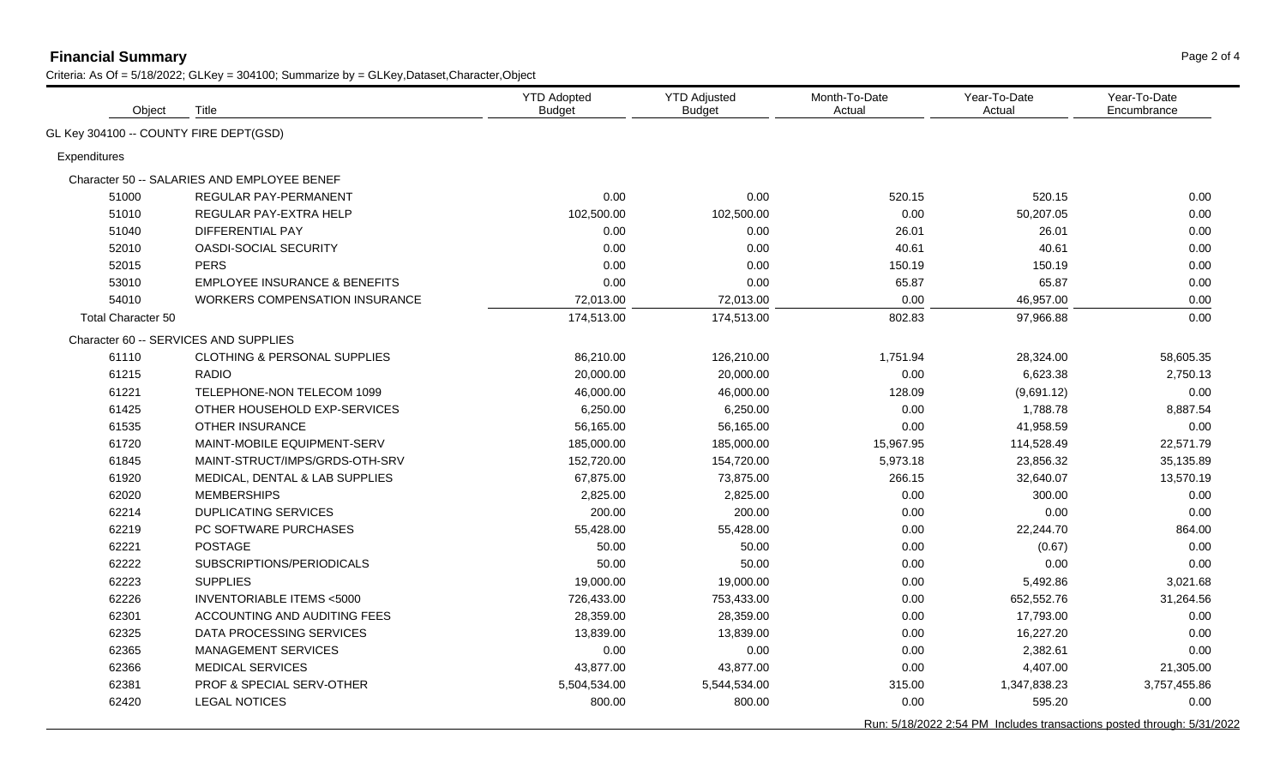## **Financial Summary** Page 2 of 4

| Object                                 | Title                                       | <b>YTD Adopted</b><br><b>Budget</b> | <b>YTD Adjusted</b><br><b>Budget</b> | Month-To-Date<br>Actual | Year-To-Date<br>Actual | Year-To-Date<br>Encumbrance                                            |
|----------------------------------------|---------------------------------------------|-------------------------------------|--------------------------------------|-------------------------|------------------------|------------------------------------------------------------------------|
| GL Key 304100 -- COUNTY FIRE DEPT(GSD) |                                             |                                     |                                      |                         |                        |                                                                        |
| Expenditures                           |                                             |                                     |                                      |                         |                        |                                                                        |
|                                        | Character 50 -- SALARIES AND EMPLOYEE BENEF |                                     |                                      |                         |                        |                                                                        |
| 51000                                  | REGULAR PAY-PERMANENT                       | 0.00                                | 0.00                                 | 520.15                  | 520.15                 | 0.00                                                                   |
| 51010                                  | REGULAR PAY-EXTRA HELP                      | 102,500.00                          | 102,500.00                           | 0.00                    | 50,207.05              | 0.00                                                                   |
| 51040                                  | DIFFERENTIAL PAY                            | 0.00                                | 0.00                                 | 26.01                   | 26.01                  | 0.00                                                                   |
| 52010                                  | <b>OASDI-SOCIAL SECURITY</b>                | 0.00                                | 0.00                                 | 40.61                   | 40.61                  | 0.00                                                                   |
| 52015                                  | <b>PERS</b>                                 | 0.00                                | 0.00                                 | 150.19                  | 150.19                 | 0.00                                                                   |
| 53010                                  | <b>EMPLOYEE INSURANCE &amp; BENEFITS</b>    | 0.00                                | 0.00                                 | 65.87                   | 65.87                  | 0.00                                                                   |
| 54010                                  | <b>WORKERS COMPENSATION INSURANCE</b>       | 72,013.00                           | 72,013.00                            | 0.00                    | 46,957.00              | 0.00                                                                   |
| <b>Total Character 50</b>              |                                             | 174,513.00                          | 174,513.00                           | 802.83                  | 97,966.88              | 0.00                                                                   |
|                                        | Character 60 -- SERVICES AND SUPPLIES       |                                     |                                      |                         |                        |                                                                        |
| 61110                                  | <b>CLOTHING &amp; PERSONAL SUPPLIES</b>     | 86,210.00                           | 126,210.00                           | 1,751.94                | 28,324.00              | 58,605.35                                                              |
| 61215                                  | <b>RADIO</b>                                | 20,000.00                           | 20,000.00                            | 0.00                    | 6,623.38               | 2,750.13                                                               |
| 61221                                  | TELEPHONE-NON TELECOM 1099                  | 46,000.00                           | 46,000.00                            | 128.09                  | (9,691.12)             | 0.00                                                                   |
| 61425                                  | OTHER HOUSEHOLD EXP-SERVICES                | 6,250.00                            | 6,250.00                             | 0.00                    | 1,788.78               | 8,887.54                                                               |
| 61535                                  | <b>OTHER INSURANCE</b>                      | 56,165.00                           | 56,165.00                            | 0.00                    | 41,958.59              | 0.00                                                                   |
| 61720                                  | <b>MAINT-MOBILE EQUIPMENT-SERV</b>          | 185,000.00                          | 185,000.00                           | 15,967.95               | 114,528.49             | 22,571.79                                                              |
| 61845                                  | MAINT-STRUCT/IMPS/GRDS-OTH-SRV              | 152,720.00                          | 154,720.00                           | 5,973.18                | 23,856.32              | 35,135.89                                                              |
| 61920                                  | MEDICAL, DENTAL & LAB SUPPLIES              | 67,875.00                           | 73,875.00                            | 266.15                  | 32,640.07              | 13,570.19                                                              |
| 62020                                  | <b>MEMBERSHIPS</b>                          | 2,825.00                            | 2,825.00                             | 0.00                    | 300.00                 | 0.00                                                                   |
| 62214                                  | <b>DUPLICATING SERVICES</b>                 | 200.00                              | 200.00                               | 0.00                    | 0.00                   | 0.00                                                                   |
| 62219                                  | PC SOFTWARE PURCHASES                       | 55,428.00                           | 55,428.00                            | 0.00                    | 22,244.70              | 864.00                                                                 |
| 62221                                  | <b>POSTAGE</b>                              | 50.00                               | 50.00                                | 0.00                    | (0.67)                 | 0.00                                                                   |
| 62222                                  | SUBSCRIPTIONS/PERIODICALS                   | 50.00                               | 50.00                                | 0.00                    | 0.00                   | 0.00                                                                   |
| 62223                                  | <b>SUPPLIES</b>                             | 19,000.00                           | 19,000.00                            | 0.00                    | 5,492.86               | 3,021.68                                                               |
| 62226                                  | <b>INVENTORIABLE ITEMS &lt;5000</b>         | 726,433.00                          | 753,433.00                           | 0.00                    | 652,552.76             | 31,264.56                                                              |
| 62301                                  | ACCOUNTING AND AUDITING FEES                | 28,359.00                           | 28,359.00                            | 0.00                    | 17,793.00              | 0.00                                                                   |
| 62325                                  | DATA PROCESSING SERVICES                    | 13,839.00                           | 13,839.00                            | 0.00                    | 16,227.20              | 0.00                                                                   |
| 62365                                  | MANAGEMENT SERVICES                         | 0.00                                | 0.00                                 | 0.00                    | 2,382.61               | 0.00                                                                   |
| 62366                                  | <b>MEDICAL SERVICES</b>                     | 43,877.00                           | 43,877.00                            | 0.00                    | 4,407.00               | 21,305.00                                                              |
| 62381                                  | <b>PROF &amp; SPECIAL SERV-OTHER</b>        | 5,504,534.00                        | 5,544,534.00                         | 315.00                  | 1,347,838.23           | 3,757,455.86                                                           |
| 62420                                  | <b>LEGAL NOTICES</b>                        | 800.00                              | 800.00                               | 0.00                    | 595.20                 | 0.00                                                                   |
|                                        |                                             |                                     |                                      |                         |                        | Run: 5/18/2022 2:54 PM Includes transactions posted through: 5/31/2022 |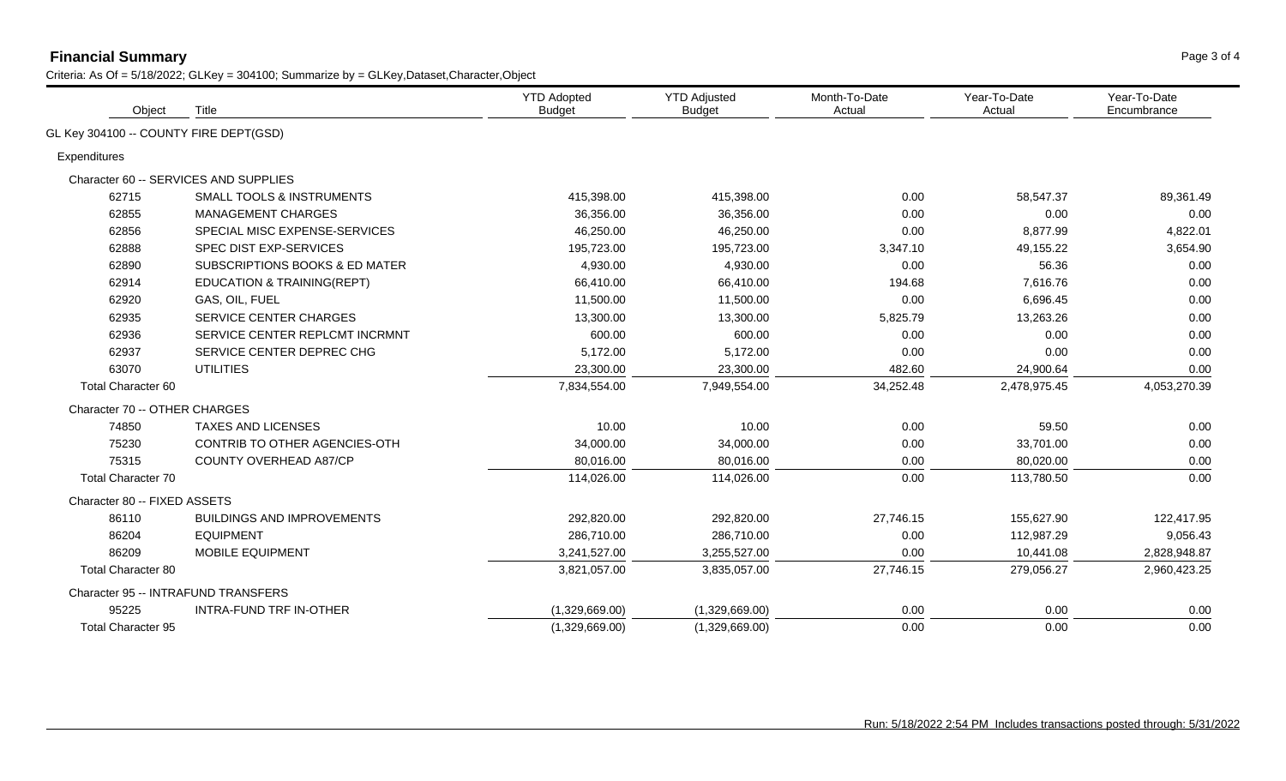## **Financial Summary** Page 3 of 4

| Object                                 | Title                                     | <b>YTD Adopted</b><br><b>Budget</b> | <b>YTD Adjusted</b><br><b>Budget</b> | Month-To-Date<br>Actual | Year-To-Date<br>Actual | Year-To-Date<br>Encumbrance |
|----------------------------------------|-------------------------------------------|-------------------------------------|--------------------------------------|-------------------------|------------------------|-----------------------------|
| GL Key 304100 -- COUNTY FIRE DEPT(GSD) |                                           |                                     |                                      |                         |                        |                             |
| Expenditures                           |                                           |                                     |                                      |                         |                        |                             |
|                                        | Character 60 -- SERVICES AND SUPPLIES     |                                     |                                      |                         |                        |                             |
| 62715                                  | <b>SMALL TOOLS &amp; INSTRUMENTS</b>      | 415,398.00                          | 415,398.00                           | 0.00                    | 58,547.37              | 89,361.49                   |
| 62855                                  | <b>MANAGEMENT CHARGES</b>                 | 36,356.00                           | 36,356.00                            | 0.00                    | 0.00                   | 0.00                        |
| 62856                                  | SPECIAL MISC EXPENSE-SERVICES             | 46,250.00                           | 46,250.00                            | 0.00                    | 8,877.99               | 4,822.01                    |
| 62888                                  | SPEC DIST EXP-SERVICES                    | 195,723.00                          | 195,723.00                           | 3,347.10                | 49,155.22              | 3,654.90                    |
| 62890                                  | <b>SUBSCRIPTIONS BOOKS &amp; ED MATER</b> | 4,930.00                            | 4,930.00                             | 0.00                    | 56.36                  | 0.00                        |
| 62914                                  | <b>EDUCATION &amp; TRAINING(REPT)</b>     | 66,410.00                           | 66,410.00                            | 194.68                  | 7,616.76               | 0.00                        |
| 62920                                  | GAS, OIL, FUEL                            | 11,500.00                           | 11,500.00                            | 0.00                    | 6,696.45               | 0.00                        |
| 62935                                  | SERVICE CENTER CHARGES                    | 13,300.00                           | 13,300.00                            | 5,825.79                | 13,263.26              | 0.00                        |
| 62936                                  | SERVICE CENTER REPLCMT INCRMNT            | 600.00                              | 600.00                               | 0.00                    | 0.00                   | 0.00                        |
| 62937                                  | SERVICE CENTER DEPREC CHG                 | 5,172.00                            | 5,172.00                             | 0.00                    | 0.00                   | 0.00                        |
| 63070                                  | <b>UTILITIES</b>                          | 23,300.00                           | 23,300.00                            | 482.60                  | 24,900.64              | 0.00                        |
| Total Character 60                     |                                           | 7,834,554.00                        | 7,949,554.00                         | 34,252.48               | 2,478,975.45           | 4,053,270.39                |
| Character 70 -- OTHER CHARGES          |                                           |                                     |                                      |                         |                        |                             |
| 74850                                  | <b>TAXES AND LICENSES</b>                 | 10.00                               | 10.00                                | 0.00                    | 59.50                  | 0.00                        |
| 75230                                  | CONTRIB TO OTHER AGENCIES-OTH             | 34,000.00                           | 34,000.00                            | 0.00                    | 33,701.00              | 0.00                        |
| 75315                                  | COUNTY OVERHEAD A87/CP                    | 80,016.00                           | 80,016.00                            | 0.00                    | 80,020.00              | 0.00                        |
| Total Character 70                     |                                           | 114,026.00                          | 114,026.00                           | 0.00                    | 113,780.50             | 0.00                        |
| Character 80 -- FIXED ASSETS           |                                           |                                     |                                      |                         |                        |                             |
| 86110                                  | <b>BUILDINGS AND IMPROVEMENTS</b>         | 292,820.00                          | 292,820.00                           | 27,746.15               | 155,627.90             | 122,417.95                  |
| 86204                                  | <b>EQUIPMENT</b>                          | 286,710.00                          | 286,710.00                           | 0.00                    | 112,987.29             | 9,056.43                    |
| 86209                                  | MOBILE EQUIPMENT                          | 3,241,527.00                        | 3,255,527.00                         | 0.00                    | 10,441.08              | 2,828,948.87                |
| <b>Total Character 80</b>              |                                           | 3,821,057.00                        | 3,835,057.00                         | 27,746.15               | 279,056.27             | 2,960,423.25                |
|                                        | Character 95 -- INTRAFUND TRANSFERS       |                                     |                                      |                         |                        |                             |
| 95225                                  | INTRA-FUND TRF IN-OTHER                   | (1,329,669.00)                      | (1,329,669.00)                       | 0.00                    | 0.00                   | 0.00                        |
| <b>Total Character 95</b>              |                                           | (1,329,669.00)                      | (1,329,669.00)                       | 0.00                    | 0.00                   | 0.00                        |